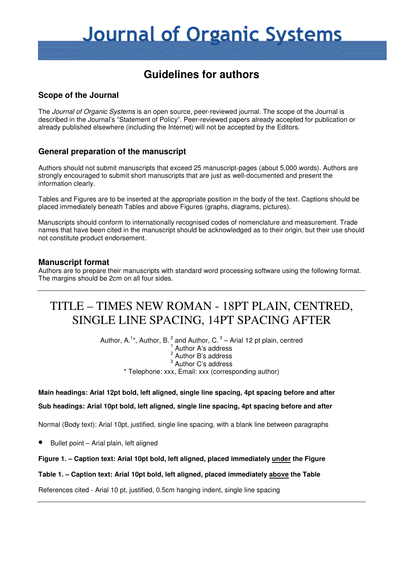# **Journal of Organic Systems**

# **Guidelines for authors**

# **Scope of the Journal**

The Journal of Organic Systems is an open source, peer-reviewed journal. The scope of the Journal is described in the Journal's "Statement of Policy". Peer-reviewed papers already accepted for publication or already published elsewhere (including the Internet) will not be accepted by the Editors.

# **General preparation of the manuscript**

Authors should not submit manuscripts that exceed 25 manuscript-pages (about 5,000 words). Authors are strongly encouraged to submit short manuscripts that are just as well-documented and present the information clearly.

Tables and Figures are to be inserted at the appropriate position in the body of the text. Captions should be placed immediately beneath Tables and above Figures (graphs, diagrams, pictures).

Manuscripts should conform to internationally recognised codes of nomenclature and measurement. Trade names that have been cited in the manuscript should be acknowledged as to their origin, but their use should not constitute product endorsement.

# **Manuscript format**

Authors are to prepare their manuscripts with standard word processing software using the following format. The margins should be 2cm on all four sides.

# TITLE – TIMES NEW ROMAN - 18PT PLAIN, CENTRED, SINGLE LINE SPACING, 14PT SPACING AFTER

Author, A.<sup>1\*</sup>, Author, B.<sup>2</sup> and Author, C.<sup>3</sup> – Arial 12 pt plain, centred <sup>1</sup> Author A's address  $2$  Author B's address <sup>3</sup> Author C's address \* Telephone: xxx, Email: xxx (corresponding author)

### **Main headings: Arial 12pt bold, left aligned, single line spacing, 4pt spacing before and after**

#### **Sub headings: Arial 10pt bold, left aligned, single line spacing, 4pt spacing before and after**

Normal (Body text): Arial 10pt, justified, single line spacing, with a blank line between paragraphs

• Bullet point – Arial plain, left aligned

### **Figure 1. – Caption text: Arial 10pt bold, left aligned, placed immediately under the Figure**

### **Table 1. – Caption text: Arial 10pt bold, left aligned, placed immediately above the Table**

References cited - Arial 10 pt, justified, 0.5cm hanging indent, single line spacing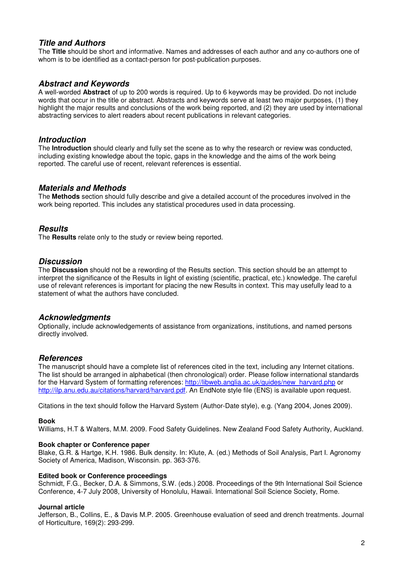# **Title and Authors**

The **Title** should be short and informative. Names and addresses of each author and any co-authors one of whom is to be identified as a contact-person for post-publication purposes.

## **Abstract and Keywords**

A well-worded **Abstract** of up to 200 words is required. Up to 6 keywords may be provided. Do not include words that occur in the title or abstract. Abstracts and keywords serve at least two major purposes, (1) they highlight the major results and conclusions of the work being reported, and (2) they are used by international abstracting services to alert readers about recent publications in relevant categories.

## **Introduction**

The **Introduction** should clearly and fully set the scene as to why the research or review was conducted, including existing knowledge about the topic, gaps in the knowledge and the aims of the work being reported. The careful use of recent, relevant references is essential.

### **Materials and Methods**

The **Methods** section should fully describe and give a detailed account of the procedures involved in the work being reported. This includes any statistical procedures used in data processing.

### **Results**

The **Results** relate only to the study or review being reported.

### **Discussion**

The **Discussion** should not be a rewording of the Results section. This section should be an attempt to interpret the significance of the Results in light of existing (scientific, practical, etc.) knowledge. The careful use of relevant references is important for placing the new Results in context. This may usefully lead to a statement of what the authors have concluded.

### **Acknowledgments**

Optionally, include acknowledgements of assistance from organizations, institutions, and named persons directly involved.

### **References**

The manuscript should have a complete list of references cited in the text, including any Internet citations. The list should be arranged in alphabetical (then chronological) order. Please follow international standards for the Harvard System of formatting references: http://libweb.anglia.ac.uk/guides/new\_harvard.php or http://ilp.anu.edu.au/citations/harvard/harvard.pdf. An EndNote style file (ENS) is available upon request.

Citations in the text should follow the Harvard System (Author-Date style), e.g. (Yang 2004, Jones 2009).

#### **Book**

Williams, H.T & Walters, M.M. 2009. Food Safety Guidelines. New Zealand Food Safety Authority, Auckland.

#### **Book chapter or Conference paper**

Blake, G.R. & Hartge, K.H. 1986. Bulk density. In: Klute, A. (ed.) Methods of Soil Analysis, Part I. Agronomy Society of America, Madison, Wisconsin. pp. 363-376.

#### **Edited book or Conference proceedings**

Schmidt, F.G., Becker, D.A. & Simmons, S.W. (eds.) 2008. Proceedings of the 9th International Soil Science Conference, 4-7 July 2008, University of Honolulu, Hawaii. International Soil Science Society, Rome.

#### **Journal article**

Jefferson, B., Collins, E., & Davis M.P. 2005. Greenhouse evaluation of seed and drench treatments. Journal of Horticulture, 169(2): 293-299.